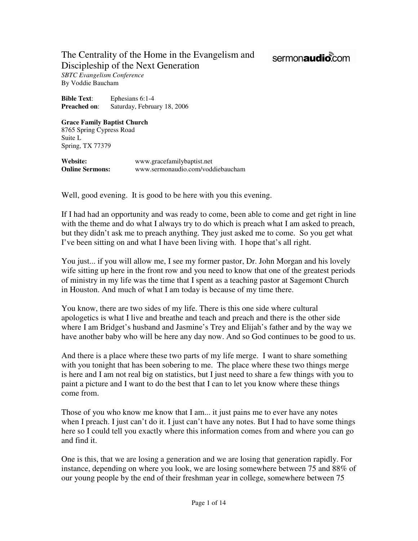## The Centrality of the Home in the Evangelism and Discipleship of the Next Generation

## sermonaudio.com

*SBTC Evangelism Conference*  By Voddie Baucham

**Bible Text**: Ephesians 6:1-4 **Preached on**: Saturday, February 18, 2006

## **Grace Family Baptist Church**  8765 Spring Cypress Road

Suite L Spring, TX 77379

**Website:** www.gracefamilybaptist.net **Online Sermons:** www.sermonaudio.com/voddiebaucham

Well, good evening. It is good to be here with you this evening.

If I had had an opportunity and was ready to come, been able to come and get right in line with the theme and do what I always try to do which is preach what I am asked to preach, but they didn't ask me to preach anything. They just asked me to come. So you get what I've been sitting on and what I have been living with. I hope that's all right.

You just... if you will allow me, I see my former pastor, Dr. John Morgan and his lovely wife sitting up here in the front row and you need to know that one of the greatest periods of ministry in my life was the time that I spent as a teaching pastor at Sagemont Church in Houston. And much of what I am today is because of my time there.

You know, there are two sides of my life. There is this one side where cultural apologetics is what I live and breathe and teach and preach and there is the other side where I am Bridget's husband and Jasmine's Trey and Elijah's father and by the way we have another baby who will be here any day now. And so God continues to be good to us.

And there is a place where these two parts of my life merge. I want to share something with you tonight that has been sobering to me. The place where these two things merge is here and I am not real big on statistics, but I just need to share a few things with you to paint a picture and I want to do the best that I can to let you know where these things come from.

Those of you who know me know that I am... it just pains me to ever have any notes when I preach. I just can't do it. I just can't have any notes. But I had to have some things here so I could tell you exactly where this information comes from and where you can go and find it.

One is this, that we are losing a generation and we are losing that generation rapidly. For instance, depending on where you look, we are losing somewhere between 75 and 88% of our young people by the end of their freshman year in college, somewhere between 75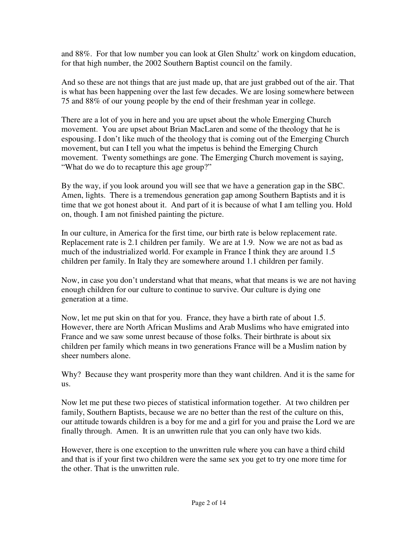and 88%. For that low number you can look at Glen Shultz' work on kingdom education, for that high number, the 2002 Southern Baptist council on the family.

And so these are not things that are just made up, that are just grabbed out of the air. That is what has been happening over the last few decades. We are losing somewhere between 75 and 88% of our young people by the end of their freshman year in college.

There are a lot of you in here and you are upset about the whole Emerging Church movement. You are upset about Brian MacLaren and some of the theology that he is espousing. I don't like much of the theology that is coming out of the Emerging Church movement, but can I tell you what the impetus is behind the Emerging Church movement. Twenty somethings are gone. The Emerging Church movement is saying, "What do we do to recapture this age group?"

By the way, if you look around you will see that we have a generation gap in the SBC. Amen, lights. There is a tremendous generation gap among Southern Baptists and it is time that we got honest about it. And part of it is because of what I am telling you. Hold on, though. I am not finished painting the picture.

In our culture, in America for the first time, our birth rate is below replacement rate. Replacement rate is 2.1 children per family. We are at 1.9. Now we are not as bad as much of the industrialized world. For example in France I think they are around 1.5 children per family. In Italy they are somewhere around 1.1 children per family.

Now, in case you don't understand what that means, what that means is we are not having enough children for our culture to continue to survive. Our culture is dying one generation at a time.

Now, let me put skin on that for you. France, they have a birth rate of about 1.5. However, there are North African Muslims and Arab Muslims who have emigrated into France and we saw some unrest because of those folks. Their birthrate is about six children per family which means in two generations France will be a Muslim nation by sheer numbers alone.

Why? Because they want prosperity more than they want children. And it is the same for us.

Now let me put these two pieces of statistical information together. At two children per family, Southern Baptists, because we are no better than the rest of the culture on this, our attitude towards children is a boy for me and a girl for you and praise the Lord we are finally through. Amen. It is an unwritten rule that you can only have two kids.

However, there is one exception to the unwritten rule where you can have a third child and that is if your first two children were the same sex you get to try one more time for the other. That is the unwritten rule.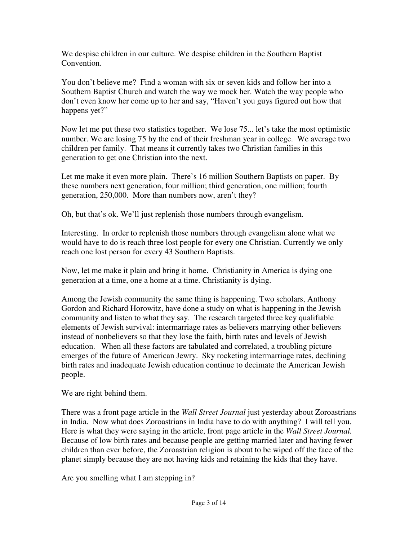We despise children in our culture. We despise children in the Southern Baptist Convention.

You don't believe me? Find a woman with six or seven kids and follow her into a Southern Baptist Church and watch the way we mock her. Watch the way people who don't even know her come up to her and say, "Haven't you guys figured out how that happens yet?"

Now let me put these two statistics together. We lose 75... let's take the most optimistic number. We are losing 75 by the end of their freshman year in college. We average two children per family. That means it currently takes two Christian families in this generation to get one Christian into the next.

Let me make it even more plain. There's 16 million Southern Baptists on paper. By these numbers next generation, four million; third generation, one million; fourth generation, 250,000. More than numbers now, aren't they?

Oh, but that's ok. We'll just replenish those numbers through evangelism.

Interesting. In order to replenish those numbers through evangelism alone what we would have to do is reach three lost people for every one Christian. Currently we only reach one lost person for every 43 Southern Baptists.

Now, let me make it plain and bring it home. Christianity in America is dying one generation at a time, one a home at a time. Christianity is dying.

Among the Jewish community the same thing is happening. Two scholars, Anthony Gordon and Richard Horowitz, have done a study on what is happening in the Jewish community and listen to what they say. The research targeted three key qualifiable elements of Jewish survival: intermarriage rates as believers marrying other believers instead of nonbelievers so that they lose the faith, birth rates and levels of Jewish education. When all these factors are tabulated and correlated, a troubling picture emerges of the future of American Jewry. Sky rocketing intermarriage rates, declining birth rates and inadequate Jewish education continue to decimate the American Jewish people.

We are right behind them.

There was a front page article in the *Wall Street Journal* just yesterday about Zoroastrians in India. Now what does Zoroastrians in India have to do with anything? I will tell you. Here is what they were saying in the article, front page article in the *Wall Street Journal.*  Because of low birth rates and because people are getting married later and having fewer children than ever before, the Zoroastrian religion is about to be wiped off the face of the planet simply because they are not having kids and retaining the kids that they have.

Are you smelling what I am stepping in?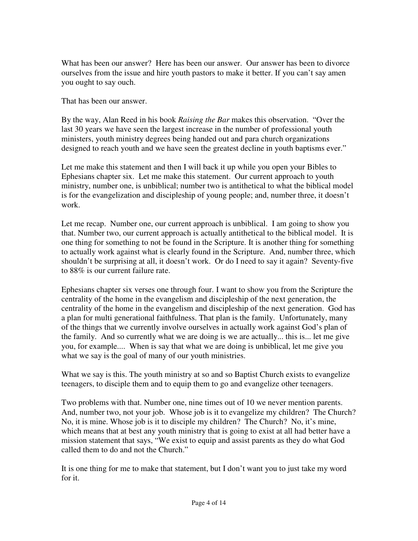What has been our answer? Here has been our answer. Our answer has been to divorce ourselves from the issue and hire youth pastors to make it better. If you can't say amen you ought to say ouch.

That has been our answer.

By the way, Alan Reed in his book *Raising the Bar* makes this observation. "Over the last 30 years we have seen the largest increase in the number of professional youth ministers, youth ministry degrees being handed out and para church organizations designed to reach youth and we have seen the greatest decline in youth baptisms ever."

Let me make this statement and then I will back it up while you open your Bibles to Ephesians chapter six. Let me make this statement. Our current approach to youth ministry, number one, is unbiblical; number two is antithetical to what the biblical model is for the evangelization and discipleship of young people; and, number three, it doesn't work.

Let me recap. Number one, our current approach is unbiblical. I am going to show you that. Number two, our current approach is actually antithetical to the biblical model. It is one thing for something to not be found in the Scripture. It is another thing for something to actually work against what is clearly found in the Scripture. And, number three, which shouldn't be surprising at all, it doesn't work. Or do I need to say it again? Seventy-five to 88% is our current failure rate.

Ephesians chapter six verses one through four. I want to show you from the Scripture the centrality of the home in the evangelism and discipleship of the next generation, the centrality of the home in the evangelism and discipleship of the next generation. God has a plan for multi generational faithfulness. That plan is the family. Unfortunately, many of the things that we currently involve ourselves in actually work against God's plan of the family. And so currently what we are doing is we are actually... this is... let me give you, for example.... When is say that what we are doing is unbiblical, let me give you what we say is the goal of many of our youth ministries.

What we say is this. The youth ministry at so and so Baptist Church exists to evangelize teenagers, to disciple them and to equip them to go and evangelize other teenagers.

Two problems with that. Number one, nine times out of 10 we never mention parents. And, number two, not your job. Whose job is it to evangelize my children? The Church? No, it is mine. Whose job is it to disciple my children? The Church? No, it's mine, which means that at best any youth ministry that is going to exist at all had better have a mission statement that says, "We exist to equip and assist parents as they do what God called them to do and not the Church."

It is one thing for me to make that statement, but I don't want you to just take my word for it.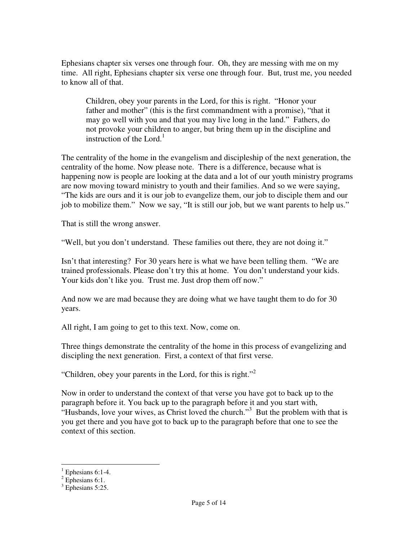Ephesians chapter six verses one through four. Oh, they are messing with me on my time. All right, Ephesians chapter six verse one through four. But, trust me, you needed to know all of that.

Children, obey your parents in the Lord, for this is right. "Honor your father and mother" (this is the first commandment with a promise), "that it may go well with you and that you may live long in the land." Fathers, do not provoke your children to anger, but bring them up in the discipline and instruction of the Lord. $<sup>1</sup>$ </sup>

The centrality of the home in the evangelism and discipleship of the next generation, the centrality of the home. Now please note. There is a difference, because what is happening now is people are looking at the data and a lot of our youth ministry programs are now moving toward ministry to youth and their families. And so we were saying, "The kids are ours and it is our job to evangelize them, our job to disciple them and our job to mobilize them." Now we say, "It is still our job, but we want parents to help us."

That is still the wrong answer.

"Well, but you don't understand. These families out there, they are not doing it."

Isn't that interesting? For 30 years here is what we have been telling them. "We are trained professionals. Please don't try this at home. You don't understand your kids. Your kids don't like you. Trust me. Just drop them off now."

And now we are mad because they are doing what we have taught them to do for 30 years.

All right, I am going to get to this text. Now, come on.

Three things demonstrate the centrality of the home in this process of evangelizing and discipling the next generation. First, a context of that first verse.

"Children, obey your parents in the Lord, for this is right."<sup>2</sup>

Now in order to understand the context of that verse you have got to back up to the paragraph before it. You back up to the paragraph before it and you start with, "Husbands, love your wives, as Christ loved the church."<sup>3</sup> But the problem with that is you get there and you have got to back up to the paragraph before that one to see the context of this section.

<sup>&</sup>lt;sup>1</sup> Ephesians 6:1-4.

 $2$  Ephesians 6:1.

<sup>&</sup>lt;sup>3</sup> Ephesians 5:25.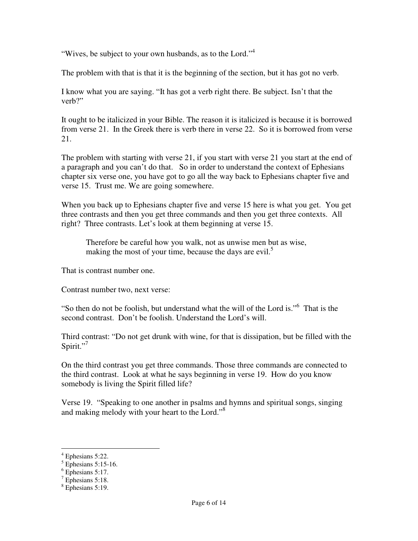"Wives, be subject to your own husbands, as to the Lord."<sup>4</sup>

The problem with that is that it is the beginning of the section, but it has got no verb.

I know what you are saying. "It has got a verb right there. Be subject. Isn't that the verb?"

It ought to be italicized in your Bible. The reason it is italicized is because it is borrowed from verse 21. In the Greek there is verb there in verse 22. So it is borrowed from verse 21.

The problem with starting with verse 21, if you start with verse 21 you start at the end of a paragraph and you can't do that. So in order to understand the context of Ephesians chapter six verse one, you have got to go all the way back to Ephesians chapter five and verse 15. Trust me. We are going somewhere.

When you back up to Ephesians chapter five and verse 15 here is what you get. You get three contrasts and then you get three commands and then you get three contexts. All right? Three contrasts. Let's look at them beginning at verse 15.

Therefore be careful how you walk, not as unwise men but as wise, making the most of your time, because the days are evil.<sup>5</sup>

That is contrast number one.

Contrast number two, next verse:

"So then do not be foolish, but understand what the will of the Lord is."<sup>6</sup> That is the second contrast. Don't be foolish. Understand the Lord's will.

Third contrast: "Do not get drunk with wine, for that is dissipation, but be filled with the Spirit." $^7$ 

On the third contrast you get three commands. Those three commands are connected to the third contrast. Look at what he says beginning in verse 19. How do you know somebody is living the Spirit filled life?

Verse 19. "Speaking to one another in psalms and hymns and spiritual songs, singing and making melody with your heart to the Lord."<sup>8</sup>

 $4$  Ephesians 5:22.

 $<sup>5</sup>$  Ephesians 5:15-16.</sup>

<sup>6</sup> Ephesians 5:17.

 $7$  Ephesians 5:18.

<sup>8</sup> Ephesians 5:19.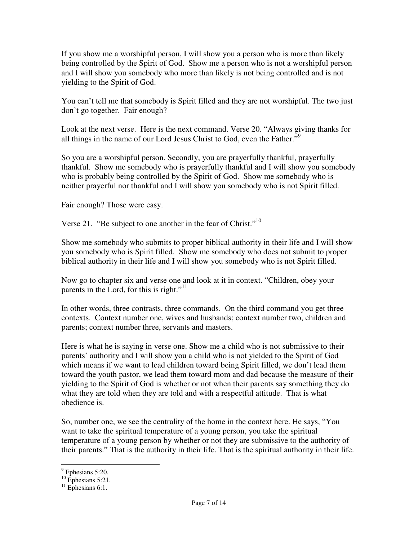If you show me a worshipful person, I will show you a person who is more than likely being controlled by the Spirit of God. Show me a person who is not a worshipful person and I will show you somebody who more than likely is not being controlled and is not yielding to the Spirit of God.

You can't tell me that somebody is Spirit filled and they are not worshipful. The two just don't go together. Fair enough?

Look at the next verse. Here is the next command. Verse 20. "Always giving thanks for all things in the name of our Lord Jesus Christ to God, even the Father."<sup>9</sup>

So you are a worshipful person. Secondly, you are prayerfully thankful, prayerfully thankful. Show me somebody who is prayerfully thankful and I will show you somebody who is probably being controlled by the Spirit of God. Show me somebody who is neither prayerful nor thankful and I will show you somebody who is not Spirit filled.

Fair enough? Those were easy.

Verse 21. "Be subject to one another in the fear of Christ."<sup>10</sup>

Show me somebody who submits to proper biblical authority in their life and I will show you somebody who is Spirit filled. Show me somebody who does not submit to proper biblical authority in their life and I will show you somebody who is not Spirit filled.

Now go to chapter six and verse one and look at it in context. "Children, obey your parents in the Lord, for this is right."<sup>11</sup>

In other words, three contrasts, three commands. On the third command you get three contexts. Context number one, wives and husbands; context number two, children and parents; context number three, servants and masters.

Here is what he is saying in verse one. Show me a child who is not submissive to their parents' authority and I will show you a child who is not yielded to the Spirit of God which means if we want to lead children toward being Spirit filled, we don't lead them toward the youth pastor, we lead them toward mom and dad because the measure of their yielding to the Spirit of God is whether or not when their parents say something they do what they are told when they are told and with a respectful attitude. That is what obedience is.

So, number one, we see the centrality of the home in the context here. He says, "You want to take the spiritual temperature of a young person, you take the spiritual temperature of a young person by whether or not they are submissive to the authority of their parents." That is the authority in their life. That is the spiritual authority in their life.

 $\overline{a}$ 

 $<sup>9</sup>$  Ephesians 5:20.</sup>

 $^{10}$  Ephesians 5:21.

 $11$  Ephesians 6:1.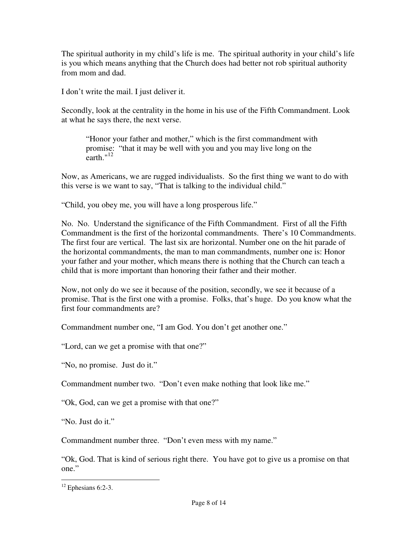The spiritual authority in my child's life is me. The spiritual authority in your child's life is you which means anything that the Church does had better not rob spiritual authority from mom and dad.

I don't write the mail. I just deliver it.

Secondly, look at the centrality in the home in his use of the Fifth Commandment. Look at what he says there, the next verse.

"Honor your father and mother," which is the first commandment with promise: "that it may be well with you and you may live long on the earth."<sup>12</sup>

Now, as Americans, we are rugged individualists. So the first thing we want to do with this verse is we want to say, "That is talking to the individual child."

"Child, you obey me, you will have a long prosperous life."

No. No. Understand the significance of the Fifth Commandment. First of all the Fifth Commandment is the first of the horizontal commandments. There's 10 Commandments. The first four are vertical. The last six are horizontal. Number one on the hit parade of the horizontal commandments, the man to man commandments, number one is: Honor your father and your mother, which means there is nothing that the Church can teach a child that is more important than honoring their father and their mother.

Now, not only do we see it because of the position, secondly, we see it because of a promise. That is the first one with a promise. Folks, that's huge. Do you know what the first four commandments are?

Commandment number one, "I am God. You don't get another one."

"Lord, can we get a promise with that one?"

"No, no promise. Just do it."

Commandment number two. "Don't even make nothing that look like me."

"Ok, God, can we get a promise with that one?"

"No. Just do it."

Commandment number three. "Don't even mess with my name."

"Ok, God. That is kind of serious right there. You have got to give us a promise on that one."

l

 $12$  Ephesians 6:2-3.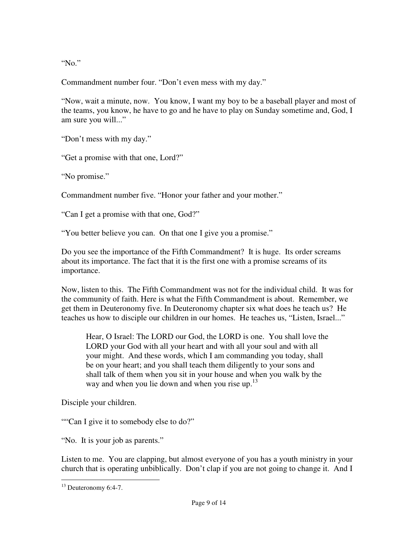"No."

Commandment number four. "Don't even mess with my day."

"Now, wait a minute, now. You know, I want my boy to be a baseball player and most of the teams, you know, he have to go and he have to play on Sunday sometime and, God, I am sure you will..."

"Don't mess with my day."

"Get a promise with that one, Lord?"

"No promise."

Commandment number five. "Honor your father and your mother."

"Can I get a promise with that one, God?"

"You better believe you can. On that one I give you a promise."

Do you see the importance of the Fifth Commandment? It is huge. Its order screams about its importance. The fact that it is the first one with a promise screams of its importance.

Now, listen to this. The Fifth Commandment was not for the individual child. It was for the community of faith. Here is what the Fifth Commandment is about. Remember, we get them in Deuteronomy five. In Deuteronomy chapter six what does he teach us? He teaches us how to disciple our children in our homes. He teaches us, "Listen, Israel..."

Hear, O Israel: The LORD our God, the LORD is one. You shall love the LORD your God with all your heart and with all your soul and with all your might. And these words, which I am commanding you today, shall be on your heart; and you shall teach them diligently to your sons and shall talk of them when you sit in your house and when you walk by the way and when you lie down and when you rise up. $^{13}$ 

Disciple your children.

""Can I give it to somebody else to do?"

"No. It is your job as parents."

Listen to me. You are clapping, but almost everyone of you has a youth ministry in your church that is operating unbiblically. Don't clap if you are not going to change it. And I

l

<sup>&</sup>lt;sup>13</sup> Deuteronomy 6:4-7.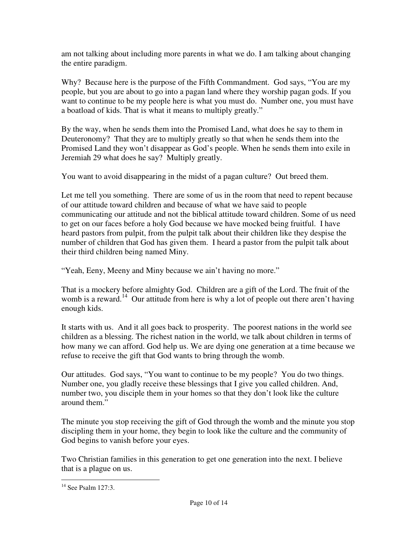am not talking about including more parents in what we do. I am talking about changing the entire paradigm.

Why? Because here is the purpose of the Fifth Commandment. God says, "You are my people, but you are about to go into a pagan land where they worship pagan gods. If you want to continue to be my people here is what you must do. Number one, you must have a boatload of kids. That is what it means to multiply greatly."

By the way, when he sends them into the Promised Land, what does he say to them in Deuteronomy? That they are to multiply greatly so that when he sends them into the Promised Land they won't disappear as God's people. When he sends them into exile in Jeremiah 29 what does he say? Multiply greatly.

You want to avoid disappearing in the midst of a pagan culture? Out breed them.

Let me tell you something. There are some of us in the room that need to repent because of our attitude toward children and because of what we have said to people communicating our attitude and not the biblical attitude toward children. Some of us need to get on our faces before a holy God because we have mocked being fruitful. I have heard pastors from pulpit, from the pulpit talk about their children like they despise the number of children that God has given them. I heard a pastor from the pulpit talk about their third children being named Miny.

"Yeah, Eeny, Meeny and Miny because we ain't having no more."

That is a mockery before almighty God. Children are a gift of the Lord. The fruit of the womb is a reward.<sup>14</sup> Our attitude from here is why a lot of people out there aren't having enough kids.

It starts with us. And it all goes back to prosperity. The poorest nations in the world see children as a blessing. The richest nation in the world, we talk about children in terms of how many we can afford. God help us. We are dying one generation at a time because we refuse to receive the gift that God wants to bring through the womb.

Our attitudes. God says, "You want to continue to be my people? You do two things. Number one, you gladly receive these blessings that I give you called children. And, number two, you disciple them in your homes so that they don't look like the culture around them."

The minute you stop receiving the gift of God through the womb and the minute you stop discipling them in your home, they begin to look like the culture and the community of God begins to vanish before your eyes.

Two Christian families in this generation to get one generation into the next. I believe that is a plague on us.

l <sup>14</sup> See Psalm 127:3.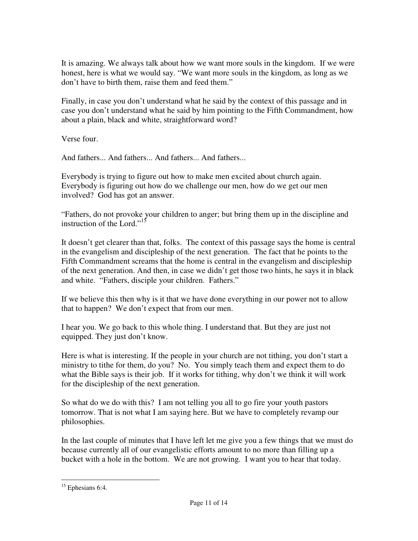It is amazing. We always talk about how we want more souls in the kingdom. If we were honest, here is what we would say. "We want more souls in the kingdom, as long as we don't have to birth them, raise them and feed them."

Finally, in case you don't understand what he said by the context of this passage and in case you don't understand what he said by him pointing to the Fifth Commandment, how about a plain, black and white, straightforward word?

Verse four.

And fathers... And fathers... And fathers... And fathers...

Everybody is trying to figure out how to make men excited about church again. Everybody is figuring out how do we challenge our men, how do we get our men involved? God has got an answer.

"Fathers, do not provoke your children to anger; but bring them up in the discipline and instruction of the Lord."<sup>15</sup>

It doesn't get clearer than that, folks. The context of this passage says the home is central in the evangelism and discipleship of the next generation. The fact that he points to the Fifth Commandment screams that the home is central in the evangelism and discipleship of the next generation. And then, in case we didn't get those two hints, he says it in black and white. "Fathers, disciple your children. Fathers."

If we believe this then why is it that we have done everything in our power not to allow that to happen? We don't expect that from our men.

I hear you. We go back to this whole thing. I understand that. But they are just not equipped. They just don't know.

Here is what is interesting. If the people in your church are not tithing, you don't start a ministry to tithe for them, do you? No. You simply teach them and expect them to do what the Bible says is their job. If it works for tithing, why don't we think it will work for the discipleship of the next generation.

So what do we do with this? I am not telling you all to go fire your youth pastors tomorrow. That is not what I am saying here. But we have to completely revamp our philosophies.

In the last couple of minutes that I have left let me give you a few things that we must do because currently all of our evangelistic efforts amount to no more than filling up a bucket with a hole in the bottom. We are not growing. I want you to hear that today.

l <sup>15</sup> Ephesians 6:4.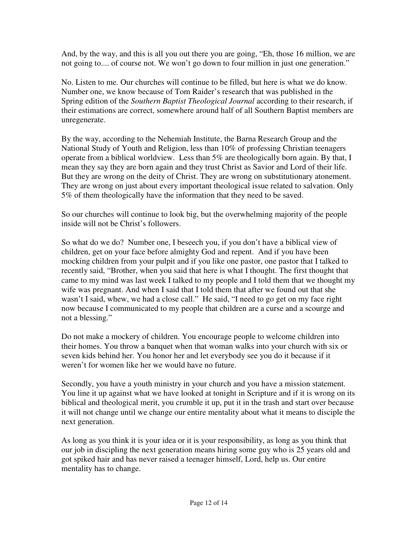And, by the way, and this is all you out there you are going, "Eh, those 16 million, we are not going to.... of course not. We won't go down to four million in just one generation."

No. Listen to me. Our churches will continue to be filled, but here is what we do know. Number one, we know because of Tom Raider's research that was published in the Spring edition of the *Southern Baptist Theological Journal* according to their research, if their estimations are correct, somewhere around half of all Southern Baptist members are unregenerate.

By the way, according to the Nehemiah Institute, the Barna Research Group and the National Study of Youth and Religion, less than 10% of professing Christian teenagers operate from a biblical worldview. Less than 5% are theologically born again. By that, I mean they say they are born again and they trust Christ as Savior and Lord of their life. But they are wrong on the deity of Christ. They are wrong on substitutionary atonement. They are wrong on just about every important theological issue related to salvation. Only 5% of them theologically have the information that they need to be saved.

So our churches will continue to look big, but the overwhelming majority of the people inside will not be Christ's followers.

So what do we do? Number one, I beseech you, if you don't have a biblical view of children, get on your face before almighty God and repent. And if you have been mocking children from your pulpit and if you like one pastor, one pastor that I talked to recently said, "Brother, when you said that here is what I thought. The first thought that came to my mind was last week I talked to my people and I told them that we thought my wife was pregnant. And when I said that I told them that after we found out that she wasn't I said, whew, we had a close call." He said, "I need to go get on my face right now because I communicated to my people that children are a curse and a scourge and not a blessing."

Do not make a mockery of children. You encourage people to welcome children into their homes. You throw a banquet when that woman walks into your church with six or seven kids behind her. You honor her and let everybody see you do it because if it weren't for women like her we would have no future.

Secondly, you have a youth ministry in your church and you have a mission statement. You line it up against what we have looked at tonight in Scripture and if it is wrong on its biblical and theological merit, you crumble it up, put it in the trash and start over because it will not change until we change our entire mentality about what it means to disciple the next generation.

As long as you think it is your idea or it is your responsibility, as long as you think that our job in discipling the next generation means hiring some guy who is 25 years old and got spiked hair and has never raised a teenager himself, Lord, help us. Our entire mentality has to change.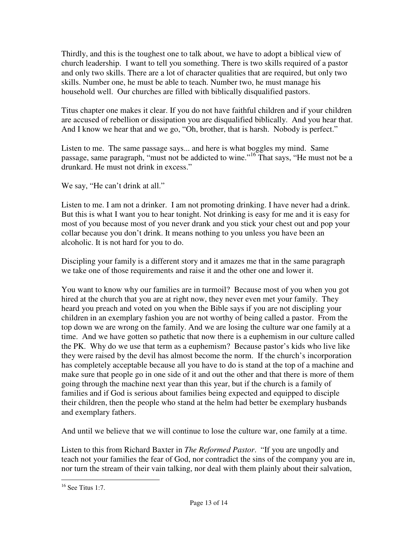Thirdly, and this is the toughest one to talk about, we have to adopt a biblical view of church leadership. I want to tell you something. There is two skills required of a pastor and only two skills. There are a lot of character qualities that are required, but only two skills. Number one, he must be able to teach. Number two, he must manage his household well. Our churches are filled with biblically disqualified pastors.

Titus chapter one makes it clear. If you do not have faithful children and if your children are accused of rebellion or dissipation you are disqualified biblically. And you hear that. And I know we hear that and we go, "Oh, brother, that is harsh. Nobody is perfect."

Listen to me. The same passage says... and here is what boggles my mind. Same passage, same paragraph, "must not be addicted to wine."<sup>16</sup> That says, "He must not be a drunkard. He must not drink in excess."

We say, "He can't drink at all."

Listen to me. I am not a drinker. I am not promoting drinking. I have never had a drink. But this is what I want you to hear tonight. Not drinking is easy for me and it is easy for most of you because most of you never drank and you stick your chest out and pop your collar because you don't drink. It means nothing to you unless you have been an alcoholic. It is not hard for you to do.

Discipling your family is a different story and it amazes me that in the same paragraph we take one of those requirements and raise it and the other one and lower it.

You want to know why our families are in turmoil? Because most of you when you got hired at the church that you are at right now, they never even met your family. They heard you preach and voted on you when the Bible says if you are not discipling your children in an exemplary fashion you are not worthy of being called a pastor. From the top down we are wrong on the family. And we are losing the culture war one family at a time. And we have gotten so pathetic that now there is a euphemism in our culture called the PK. Why do we use that term as a euphemism? Because pastor's kids who live like they were raised by the devil has almost become the norm. If the church's incorporation has completely acceptable because all you have to do is stand at the top of a machine and make sure that people go in one side of it and out the other and that there is more of them going through the machine next year than this year, but if the church is a family of families and if God is serious about families being expected and equipped to disciple their children, then the people who stand at the helm had better be exemplary husbands and exemplary fathers.

And until we believe that we will continue to lose the culture war, one family at a time.

Listen to this from Richard Baxter in *The Reformed Pastor*. "If you are ungodly and teach not your families the fear of God, nor contradict the sins of the company you are in, nor turn the stream of their vain talking, nor deal with them plainly about their salvation,

l  $16$  See Titus 1:7.